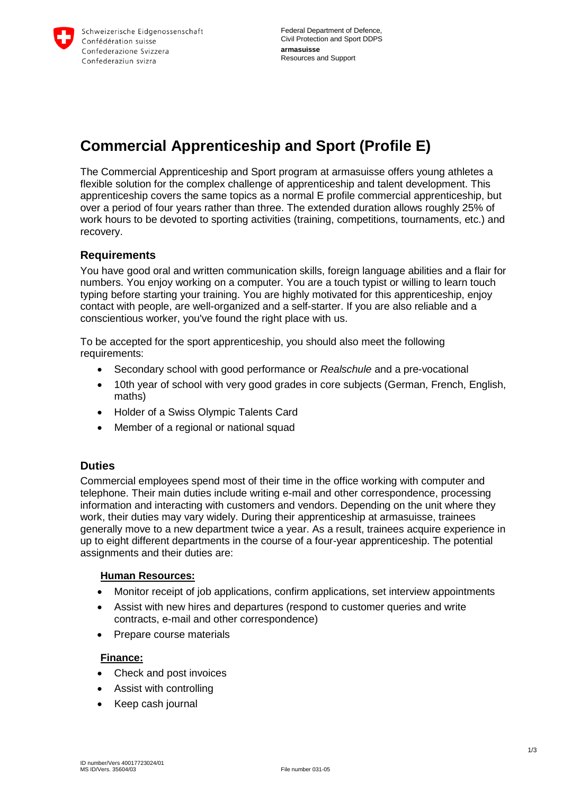

# **Commercial Apprenticeship and Sport (Profile E)**

The Commercial Apprenticeship and Sport program at armasuisse offers young athletes a flexible solution for the complex challenge of apprenticeship and talent development. This apprenticeship covers the same topics as a normal E profile commercial apprenticeship, but over a period of four years rather than three. The extended duration allows roughly 25% of work hours to be devoted to sporting activities (training, competitions, tournaments, etc.) and recovery.

# **Requirements**

You have good oral and written communication skills, foreign language abilities and a flair for numbers. You enjoy working on a computer. You are a touch typist or willing to learn touch typing before starting your training. You are highly motivated for this apprenticeship, enjoy contact with people, are well-organized and a self-starter. If you are also reliable and a conscientious worker, you've found the right place with us.

To be accepted for the sport apprenticeship, you should also meet the following requirements:

- Secondary school with good performance or *Realschule* and a pre-vocational
- 10th year of school with very good grades in core subjects (German, French, English, maths)
- Holder of a Swiss Olympic Talents Card
- Member of a regional or national squad

# **Duties**

Commercial employees spend most of their time in the office working with computer and telephone. Their main duties include writing e-mail and other correspondence, processing information and interacting with customers and vendors. Depending on the unit where they work, their duties may vary widely. During their apprenticeship at armasuisse, trainees generally move to a new department twice a year. As a result, trainees acquire experience in up to eight different departments in the course of a four-year apprenticeship. The potential assignments and their duties are:

#### **Human Resources:**

- Monitor receipt of job applications, confirm applications, set interview appointments
- Assist with new hires and departures (respond to customer queries and write contracts, e-mail and other correspondence)
- Prepare course materials

#### **Finance:**

- Check and post invoices
- Assist with controlling
- Keep cash journal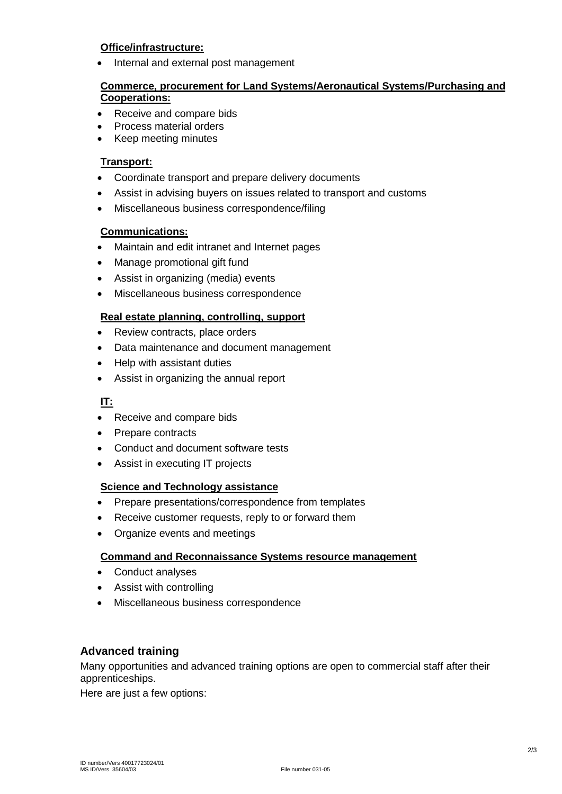# **Office/infrastructure:**

• Internal and external post management

### **Commerce, procurement for Land Systems/Aeronautical Systems/Purchasing and Cooperations:**

- Receive and compare bids
- Process material orders
- Keep meeting minutes

#### **Transport:**

- Coordinate transport and prepare delivery documents
- Assist in advising buyers on issues related to transport and customs
- Miscellaneous business correspondence/filing

# **Communications:**

- Maintain and edit intranet and Internet pages
- Manage promotional gift fund
- Assist in organizing (media) events
- Miscellaneous business correspondence

#### **Real estate planning, controlling, support**

- Review contracts, place orders
- Data maintenance and document management
- Help with assistant duties
- Assist in organizing the annual report

# **IT:**

- Receive and compare bids
- Prepare contracts
- Conduct and document software tests
- Assist in executing IT projects

#### **Science and Technology assistance**

- Prepare presentations/correspondence from templates
- Receive customer requests, reply to or forward them
- Organize events and meetings

# **Command and Reconnaissance Systems resource management**

- Conduct analyses
- Assist with controlling
- Miscellaneous business correspondence

# **Advanced training**

Many opportunities and advanced training options are open to commercial staff after their apprenticeships.

Here are just a few options: